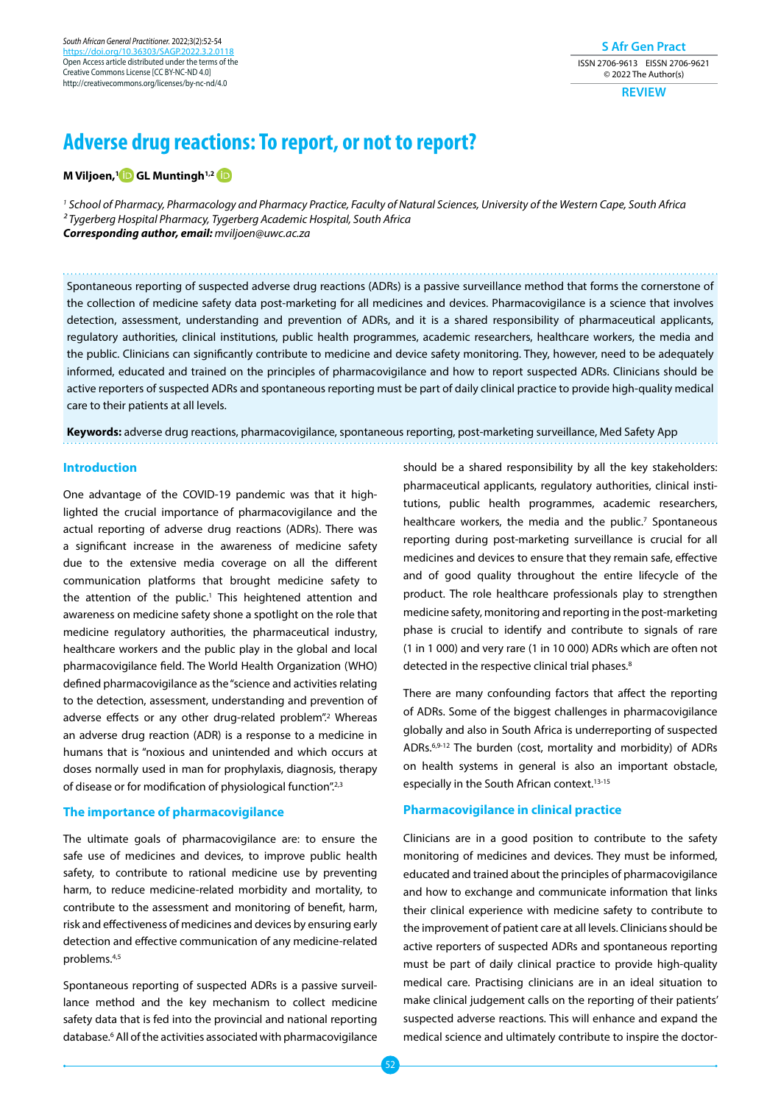*South African General Practitioner.* 2022;3(2):52-54 https://doi.org/10.36303/ Open Access article distributed under the terms of the Creative Commons License [CC BY-NC-ND 4.0] http://creativecommons.org/licenses/by-nc-nd/4.0

**S Afr Gen Pract** ISSN 2706-9613 EISSN 2706-9621 © 2022 The Author(s)

**REVIEW**

# **Adverse drug reactions: To report, or not to report?**

**M Viljoen,[1 G](https://orcid.org/0000-0002-4406-3666)L Muntingh1,[2](https://orcid.org/0000-0002-1793-5748 )**

*1 School of Pharmacy, Pharmacology and Pharmacy Practice, Faculty of Natural Sciences, University of the Western Cape, South Africa 2 Tygerberg Hospital Pharmacy, Tygerberg Academic Hospital, South Africa Corresponding author, email: mviljoen@uwc.ac.za*

Spontaneous reporting of suspected adverse drug reactions (ADRs) is a passive surveillance method that forms the cornerstone of the collection of medicine safety data post-marketing for all medicines and devices. Pharmacovigilance is a science that involves detection, assessment, understanding and prevention of ADRs, and it is a shared responsibility of pharmaceutical applicants, regulatory authorities, clinical institutions, public health programmes, academic researchers, healthcare workers, the media and the public. Clinicians can significantly contribute to medicine and device safety monitoring. They, however, need to be adequately informed, educated and trained on the principles of pharmacovigilance and how to report suspected ADRs. Clinicians should be active reporters of suspected ADRs and spontaneous reporting must be part of daily clinical practice to provide high-quality medical care to their patients at all levels.

**Keywords:** adverse drug reactions, pharmacovigilance, spontaneous reporting, post-marketing surveillance, Med Safety App

#### **Introduction**

One advantage of the COVID-19 pandemic was that it highlighted the crucial importance of pharmacovigilance and the actual reporting of adverse drug reactions (ADRs). There was a significant increase in the awareness of medicine safety due to the extensive media coverage on all the different communication platforms that brought medicine safety to the attention of the public.<sup>1</sup> This heightened attention and awareness on medicine safety shone a spotlight on the role that medicine regulatory authorities, the pharmaceutical industry, healthcare workers and the public play in the global and local pharmacovigilance field. The World Health Organization (WHO) defined pharmacovigilance as the "science and activities relating to the detection, assessment, understanding and prevention of adverse effects or any other drug-related problem".<sup>2</sup> Whereas an adverse drug reaction (ADR) is a response to a medicine in humans that is "noxious and unintended and which occurs at doses normally used in man for prophylaxis, diagnosis, therapy of disease or for modification of physiological function".<sup>2,3</sup>

## **The importance of pharmacovigilance**

The ultimate goals of pharmacovigilance are: to ensure the safe use of medicines and devices, to improve public health safety, to contribute to rational medicine use by preventing harm, to reduce medicine-related morbidity and mortality, to contribute to the assessment and monitoring of benefit, harm, risk and effectiveness of medicines and devices by ensuring early detection and effective communication of any medicine-related problems.4,5

Spontaneous reporting of suspected ADRs is a passive surveillance method and the key mechanism to collect medicine safety data that is fed into the provincial and national reporting database.6 All of the activities associated with pharmacovigilance

should be a shared responsibility by all the key stakeholders: pharmaceutical applicants, regulatory authorities, clinical institutions, public health programmes, academic researchers, healthcare workers, the media and the public.<sup>7</sup> Spontaneous reporting during post-marketing surveillance is crucial for all medicines and devices to ensure that they remain safe, effective and of good quality throughout the entire lifecycle of the product. The role healthcare professionals play to strengthen medicine safety, monitoring and reporting in the post-marketing phase is crucial to identify and contribute to signals of rare (1 in 1 000) and very rare (1 in 10 000) ADRs which are often not detected in the respective clinical trial phases.<sup>8</sup>

There are many confounding factors that affect the reporting of ADRs. Some of the biggest challenges in pharmacovigilance globally and also in South Africa is underreporting of suspected ADRs.6,9-12 The burden (cost, mortality and morbidity) of ADRs on health systems in general is also an important obstacle, especially in the South African context.13-15

# **Pharmacovigilance in clinical practice**

Clinicians are in a good position to contribute to the safety monitoring of medicines and devices. They must be informed, educated and trained about the principles of pharmacovigilance and how to exchange and communicate information that links their clinical experience with medicine safety to contribute to the improvement of patient care at all levels. Clinicians should be active reporters of suspected ADRs and spontaneous reporting must be part of daily clinical practice to provide high-quality medical care. Practising clinicians are in an ideal situation to make clinical judgement calls on the reporting of their patients' suspected adverse reactions. This will enhance and expand the medical science and ultimately contribute to inspire the doctor-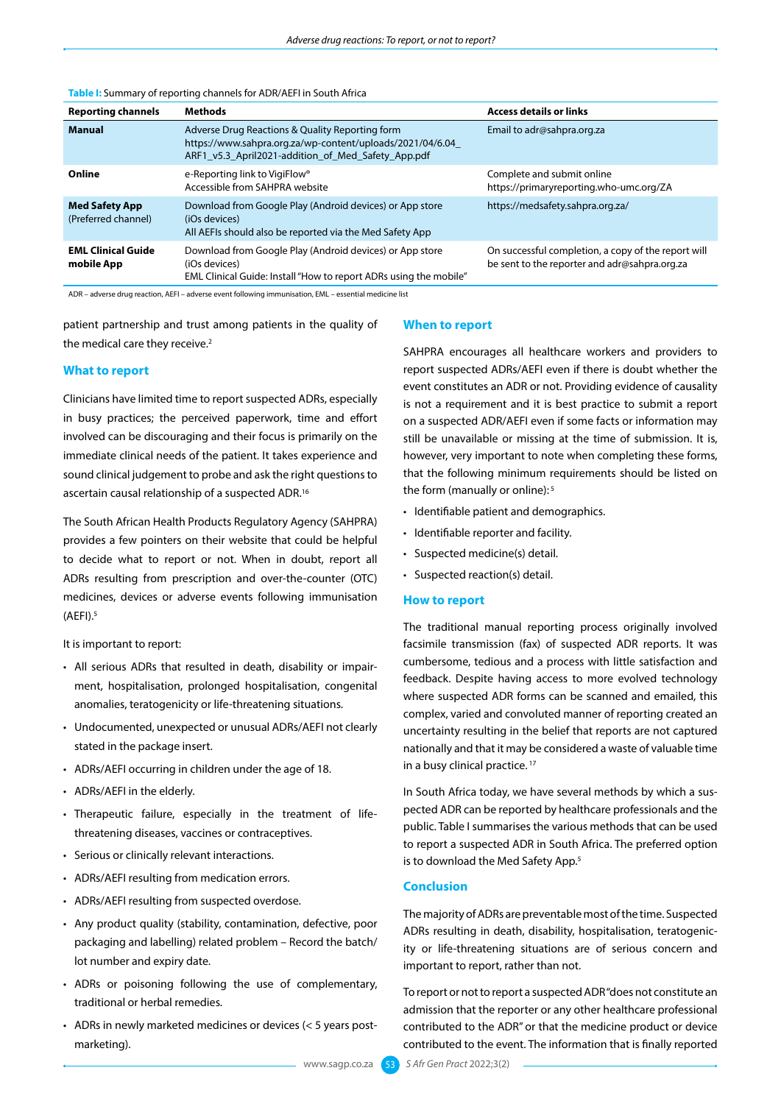| <b>Reporting channels</b>                    | Methods                                                                                                                                                            | <b>Access details or links</b>                                                                       |
|----------------------------------------------|--------------------------------------------------------------------------------------------------------------------------------------------------------------------|------------------------------------------------------------------------------------------------------|
| <b>Manual</b>                                | Adverse Drug Reactions & Quality Reporting form<br>https://www.sahpra.org.za/wp-content/uploads/2021/04/6.04<br>ARF1 v5.3 April2021-addition of Med Safety App.pdf | Email to adr@sahpra.org.za                                                                           |
| Online                                       | e-Reporting link to VigiFlow <sup>®</sup><br>Accessible from SAHPRA website                                                                                        | Complete and submit online<br>https://primaryreporting.who-umc.org/ZA                                |
| <b>Med Safety App</b><br>(Preferred channel) | Download from Google Play (Android devices) or App store<br>(iOs devices)<br>All AEFIs should also be reported via the Med Safety App                              | https://medsafety.sahpra.org.za/                                                                     |
| <b>EML Clinical Guide</b><br>mobile App      | Download from Google Play (Android devices) or App store<br>(iOs devices)<br>EML Clinical Guide: Install "How to report ADRs using the mobile"                     | On successful completion, a copy of the report will<br>be sent to the reporter and adr@sahpra.org.za |

#### **Table I:** Summary of reporting channels for ADR/AEFI in South Africa

ADR – adverse drug reaction, AEFI – adverse event following immunisation, EML – essential medicine list

patient partnership and trust among patients in the quality of the medical care they receive.<sup>2</sup>

## **What to report**

Clinicians have limited time to report suspected ADRs, especially in busy practices; the perceived paperwork, time and effort involved can be discouraging and their focus is primarily on the immediate clinical needs of the patient. It takes experience and sound clinical judgement to probe and ask the right questions to ascertain causal relationship of a suspected ADR.16

The South African Health Products Regulatory Agency (SAHPRA) provides a few pointers on their website that could be helpful to decide what to report or not. When in doubt, report all ADRs resulting from prescription and over-the-counter (OTC) medicines, devices or adverse events following immunisation  $(AEFI).<sup>5</sup>$ 

It is important to report:

- All serious ADRs that resulted in death, disability or impairment, hospitalisation, prolonged hospitalisation, congenital anomalies, teratogenicity or life-threatening situations.
- Undocumented, unexpected or unusual ADRs/AEFI not clearly stated in the package insert.
- ADRs/AEFI occurring in children under the age of 18.
- ADRs/AEFI in the elderly.
- Therapeutic failure, especially in the treatment of lifethreatening diseases, vaccines or contraceptives.
- Serious or clinically relevant interactions.
- ADRs/AEFI resulting from medication errors.
- ADRs/AEFI resulting from suspected overdose.
- Any product quality (stability, contamination, defective, poor packaging and labelling) related problem – Record the batch/ lot number and expiry date.
- ADRs or poisoning following the use of complementary, traditional or herbal remedies.
- ADRs in newly marketed medicines or devices (< 5 years postmarketing).

## **When to report**

SAHPRA encourages all healthcare workers and providers to report suspected ADRs/AEFI even if there is doubt whether the event constitutes an ADR or not. Providing evidence of causality is not a requirement and it is best practice to submit a report on a suspected ADR/AEFI even if some facts or information may still be unavailable or missing at the time of submission. It is, however, very important to note when completing these forms, that the following minimum requirements should be listed on the form (manually or online): 5

- Identifiable patient and demographics.
- Identifiable reporter and facility.
- Suspected medicine(s) detail.
- Suspected reaction(s) detail.

## **How to report**

The traditional manual reporting process originally involved facsimile transmission (fax) of suspected ADR reports. It was cumbersome, tedious and a process with little satisfaction and feedback. Despite having access to more evolved technology where suspected ADR forms can be scanned and emailed, this complex, varied and convoluted manner of reporting created an uncertainty resulting in the belief that reports are not captured nationally and that it may be considered a waste of valuable time in a busy clinical practice.<sup>17</sup>

In South Africa today, we have several methods by which a suspected ADR can be reported by healthcare professionals and the public. Table I summarises the various methods that can be used to report a suspected ADR in South Africa. The preferred option is to download the Med Safety App.<sup>5</sup>

# **Conclusion**

The majority of ADRs are preventable most of the time. Suspected ADRs resulting in death, disability, hospitalisation, teratogenicity or life-threatening situations are of serious concern and important to report, rather than not.

To report or not to report a suspected ADR "does not constitute an admission that the reporter or any other healthcare professional contributed to the ADR" or that the medicine product or device contributed to the event. The information that is finally reported